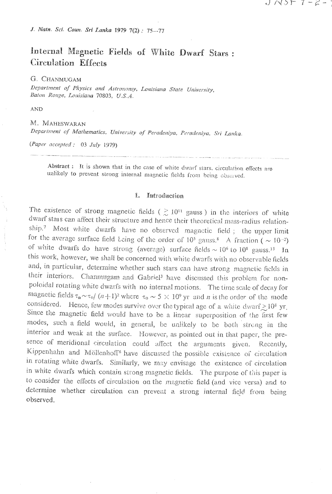J. Natn. Sci. Coun. Sri Lanka 1979 7(2): 75-77

## Internal Magnetic Fields of White Dwarf Stars: Circulation Effects

G. CHANMUGAM

Department of Physics and Astronomy, Louisiana State University, Baton Rouge, Louisiana 70803, U.S.A.

**AND** 

M. MAHESWARAN Department of Mathematics, University of Peradeniya, Peradeniya, Sri Lanka.

 $(Paper \ accepted : 03 July 1979)$ 

Abstract: It is shown that in the case of white dwarf stars, circulation effects are unlikely to prevent strong internal magnetic fields from being observed.

## I. Introduction

The existence of strong magnetic fields ( $\gtrsim 10^{11}$  gauss) in the interiors of white dwarf stars can affect their structure and hence their theoretical mass-radius relationship.7 Most white dwarfs have no observed magnetic field; the upper limit for the average surface field Leing of the order of  $10^5$  gauss.<sup>8</sup> A fraction ( $\sim 10^{-2}$ ) of white dwarfs do have strong (average) surface fields  $\sim 10^6$  to  $10^8$  gauss.<sup>15</sup> In this work, however, we shall be concerned with white dwarfs with no observable fields and, in particular, determine whether such stars can have strong magnetic fields in their interiors. Channugam and Gabriel<sup>3</sup> have discussed this problem for nonpoloidal rotating white dwarfs with no internal motions. The time scale of decay for magnetic fields  $\tau_n \sim \tau_0/(n+1)^2$  where  $\tau_0 \sim 5 \times 10^9$  yr and *n* is the order of the mode considered. Hence, few modes survive over the typical age of a white dwarf  $\geq 10^8$  yr. Since the magnetic field would have to be a linear superposition of the first few modes, such a field would, in general, be unlikely to be both strong in the interior and weak at the surface. However, as pointed out in that paper, the presence of meridional circulation could affect the arguments given. Recently, Kippenhahn and Möllenhoff<sup>6</sup> have discussed the possible existence of circulation in rotating white dwarfs. Similarly, we may envisage the existence of circulation in white dwarfs which contain strong magnetic fields. The purpose of this paper is to consider the effects of circulation on the magnetic field (and vice versa) and to determine whether circulation can prevent a strong internal field from being observed.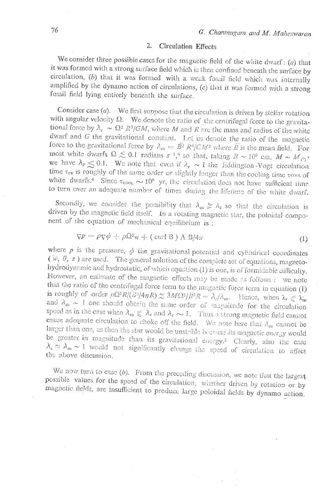## **Circulation Effects** 2.

We consider three possible cases for the magnetic field of the white dwarf:  $(a)$  that it was formed with a strong surface field which is then confined beneath the surface by circulation, (b) that it was formed with a weak fossil field which was internally amplified by the dynamo action of circulations, (c) that it was formed with a strong fossil field lying entirely beneath the surface.

Consider case  $(a)$ . We first suppose that the circulation is driven by stellar rotation with angular velocity  $\Omega$ . We denote the ratio of the centrifugal force to the gravitational force by  $\lambda_r \sim \Omega^2 R^3/GM$ , where M and R are the mass and radius of the white dwarf and G the gravitational constant. Let us denote the ratio of the magnetic force to the gravitational force by  $\lambda_m = \tilde{B}^2 R^4/GM^2$  where  $\overline{B}$  is the mean field. For most white dwarfs  $\Omega \lesssim 0.1$  radians  $s^{-1}$ ,<sup>4</sup> so that, taking  $R \sim 10^9$  cm,  $M \sim M_{\odot}$ , we have  $\lambda_r \leq 0.1$ . We note that even if  $\lambda_r \sim 1$  the Eddington-Vogt circulation time  $\tau_{\text{rv}}$  is roughly of the same order or slightly longer than the cooling time  $\tau$ coor. of white dwarfs.<sup>6</sup> Since  $\tau_{\text{cool}} \sim 10^9$  yr, the circulation does not have sufficient time to turn over an adequate number of times during the lifetime of the white dwarf.

Secondly, we consider the possibility that  $\lambda_m \geq \lambda_r$  so that the circulation is driven by the magnetic field itself. In a rotating magnetic star, the poloidal component of the equation of mechanical equilibrium is :

$$
\nabla P = \rho \nabla \phi + \rho \Omega^2 \mathbf{w} + (\text{curl } \mathbf{B}) \Lambda \mathbf{B} / 4\pi \tag{1}
$$

where  $p$  is the pressure,  $\phi$  the gravitational potential and cylindrical coordinates  $(\psi, \theta, z)$  are used. The general solution of the complete set of equations, magnetohydrodynamic and hydrostatic, of which equation (1) is one, is of formidable difficulty. However, an estimate of the magnetic effects may be made as follows : we note that the ratio of the centrifugal force term to the magnetic force term in equation (1) is roughly of order  $\rho \Omega^2 R/(\tilde{B}^2/4\pi R) \approx 3M\Omega^2/\tilde{B}^2 R \sim \lambda_c/\lambda_m$ . Hence, when  $\lambda_r \leq \lambda_m$ and  $\lambda_m \sim 1$  one should obtain the same order of magnitude for the circulation speed as in the case when  $\lambda_m \leq \lambda_r$  and  $\lambda_r \sim 1$ . Thus a strong magnetic field cannot cause adequate circulation to choke off the field. We note here that  $\lambda_m$  cannot be larger than one, as then the star would be unstable because its magnetic energy would be greater in magnitude than its gravitational energy.<sup>2</sup> Clearly, also the case  $\lambda_r \approx \lambda_m \sim 1$  would not significantly change the speed of circulation to affect the above discussion.

We now turn to case  $(b)$ . From the preceding discussion, we note that the largest possible values for the speed of the circulation, whether driven by rotation or by magnetic fields, are insufficient to produce large poloidal fields by dynamo action.